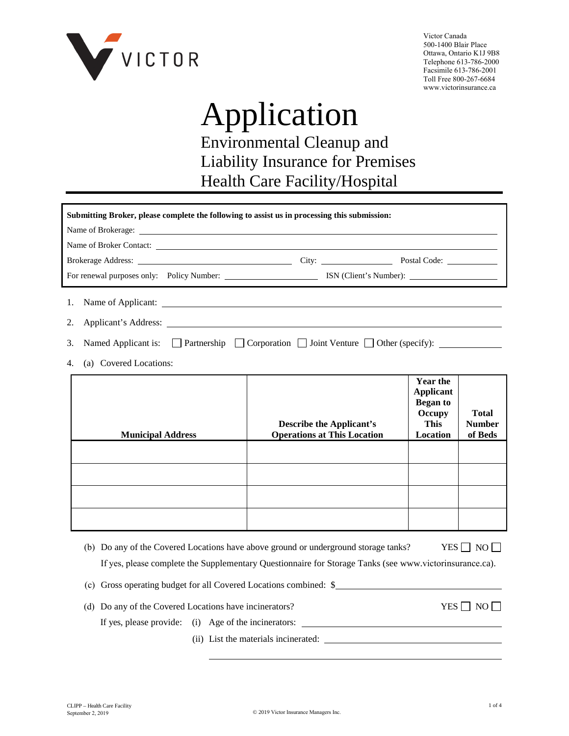

Victor Canada 500-1400 Blair Place Ottawa, Ontario K1J 9B8 Telephone 613-786-2000 Facsimile 613-786-2001 Toll Free 800-267-6684 www.victorinsurance.ca

# Application

Environmental Cleanup and Liability Insurance for Premises Health Care Facility/Hospital

| Submitting Broker, please complete the following to assist us in processing this submission: |                                                                                             |                                                                                                        |  |  |
|----------------------------------------------------------------------------------------------|---------------------------------------------------------------------------------------------|--------------------------------------------------------------------------------------------------------|--|--|
|                                                                                              |                                                                                             |                                                                                                        |  |  |
| <b>Describe the Applicant's</b><br><b>Operations at This Location</b>                        | <b>Year the</b><br><b>Applicant</b><br><b>Began</b> to<br>Occupy<br><b>This</b><br>Location | <b>Total</b><br><b>Number</b><br>of Beds                                                               |  |  |
|                                                                                              |                                                                                             |                                                                                                        |  |  |
|                                                                                              |                                                                                             | Named Applicant is: $\Box$ Partnership $\Box$ Corporation $\Box$ Joint Venture $\Box$ Other (specify): |  |  |

- (b) Do any of the Covered Locations have above ground or underground storage tanks? If yes, please complete the Supplementary Questionnaire for Storage Tanks (see www.victorinsurance.ca).  $YES \Box NO \Box$
- (c) Gross operating budget for all Covered Locations combined: \$
- (d) Do any of the Covered Locations have incinerators?  $YES \Box NO \Box$ If yes, please provide: (i) Age of the incinerators:
	- (ii) List the materials incinerated: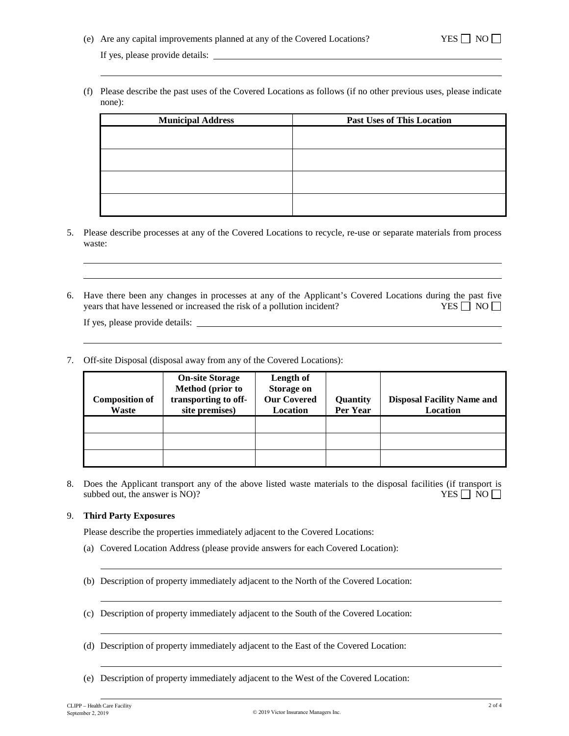(f) Please describe the past uses of the Covered Locations as follows (if no other previous uses, please indicate none):

| <b>Municipal Address</b> | <b>Past Uses of This Location</b> |
|--------------------------|-----------------------------------|
|                          |                                   |
|                          |                                   |
|                          |                                   |
|                          |                                   |
|                          |                                   |

- 5. Please describe processes at any of the Covered Locations to recycle, re-use or separate materials from process waste:
- 6. Have there been any changes in processes at any of the Applicant's Covered Locations during the past five years that have lessened or increased the risk of a pollution incident? YES  $\Box$  NO  $\Box$

If yes, please provide details:

7. Off-site Disposal (disposal away from any of the Covered Locations):

| <b>Composition of</b><br>Waste | <b>On-site Storage</b><br><b>Method</b> (prior to<br>transporting to off-<br>site premises) | Length of<br>Storage on<br><b>Our Covered</b><br><b>Location</b> | Quantity<br>Per Year | <b>Disposal Facility Name and</b><br>Location |
|--------------------------------|---------------------------------------------------------------------------------------------|------------------------------------------------------------------|----------------------|-----------------------------------------------|
|                                |                                                                                             |                                                                  |                      |                                               |
|                                |                                                                                             |                                                                  |                      |                                               |
|                                |                                                                                             |                                                                  |                      |                                               |

8. Does the Applicant transport any of the above listed waste materials to the disposal facilities (if transport is subbed out, the answer is NO)?  $YES \Box NO$ 

#### 9. **Third Party Exposures**

Please describe the properties immediately adjacent to the Covered Locations:

- (a) Covered Location Address (please provide answers for each Covered Location):
- (b) Description of property immediately adjacent to the North of the Covered Location:
- (c) Description of property immediately adjacent to the South of the Covered Location:
- (d) Description of property immediately adjacent to the East of the Covered Location:
- (e) Description of property immediately adjacent to the West of the Covered Location: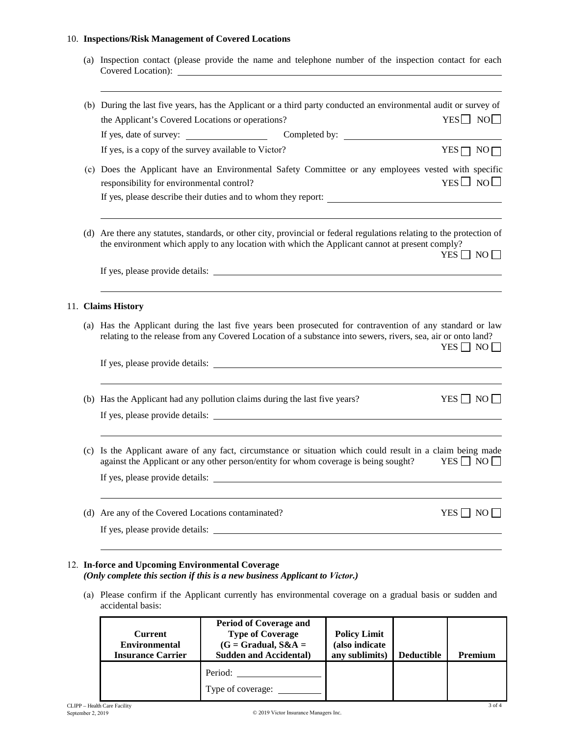### 10. **Inspections/Risk Management of Covered Locations**

| (a) Inspection contact (please provide the name and telephone number of the inspection contact for each<br>Covered Location):                           |                                                                                                                                                                                                                                                                                                                                                                                                                                                                                                                                                                                                                                                                                                                                                                                                                                                                                                                                                                                                                                                                                                                                                                                                                                |
|---------------------------------------------------------------------------------------------------------------------------------------------------------|--------------------------------------------------------------------------------------------------------------------------------------------------------------------------------------------------------------------------------------------------------------------------------------------------------------------------------------------------------------------------------------------------------------------------------------------------------------------------------------------------------------------------------------------------------------------------------------------------------------------------------------------------------------------------------------------------------------------------------------------------------------------------------------------------------------------------------------------------------------------------------------------------------------------------------------------------------------------------------------------------------------------------------------------------------------------------------------------------------------------------------------------------------------------------------------------------------------------------------|
| the Applicant's Covered Locations or operations?                                                                                                        | $YES \Box NO \Box$                                                                                                                                                                                                                                                                                                                                                                                                                                                                                                                                                                                                                                                                                                                                                                                                                                                                                                                                                                                                                                                                                                                                                                                                             |
| If yes, is a copy of the survey available to Victor?                                                                                                    | $YES \Box NO \Box$                                                                                                                                                                                                                                                                                                                                                                                                                                                                                                                                                                                                                                                                                                                                                                                                                                                                                                                                                                                                                                                                                                                                                                                                             |
| responsibility for environmental control?                                                                                                               | $YES \Box NO \Box$                                                                                                                                                                                                                                                                                                                                                                                                                                                                                                                                                                                                                                                                                                                                                                                                                                                                                                                                                                                                                                                                                                                                                                                                             |
|                                                                                                                                                         | $YES \Box NO \Box$                                                                                                                                                                                                                                                                                                                                                                                                                                                                                                                                                                                                                                                                                                                                                                                                                                                                                                                                                                                                                                                                                                                                                                                                             |
|                                                                                                                                                         |                                                                                                                                                                                                                                                                                                                                                                                                                                                                                                                                                                                                                                                                                                                                                                                                                                                                                                                                                                                                                                                                                                                                                                                                                                |
|                                                                                                                                                         | $YES \Box NO \Box$                                                                                                                                                                                                                                                                                                                                                                                                                                                                                                                                                                                                                                                                                                                                                                                                                                                                                                                                                                                                                                                                                                                                                                                                             |
|                                                                                                                                                         | $YES \Box NO \Box$                                                                                                                                                                                                                                                                                                                                                                                                                                                                                                                                                                                                                                                                                                                                                                                                                                                                                                                                                                                                                                                                                                                                                                                                             |
| against the Applicant or any other person/entity for whom coverage is being sought?<br>If yes, please provide details:                                  | $YES \Box NO \Box$                                                                                                                                                                                                                                                                                                                                                                                                                                                                                                                                                                                                                                                                                                                                                                                                                                                                                                                                                                                                                                                                                                                                                                                                             |
| If yes, please provide details:<br><u> 1980 - Jan Samuel Barbara, margaret e populari e populari e populari e populari e populari e populari e popu</u> | YES     NO                                                                                                                                                                                                                                                                                                                                                                                                                                                                                                                                                                                                                                                                                                                                                                                                                                                                                                                                                                                                                                                                                                                                                                                                                     |
| (c)                                                                                                                                                     | (b) During the last five years, has the Applicant or a third party conducted an environmental audit or survey of<br>(c) Does the Applicant have an Environmental Safety Committee or any employees vested with specific<br>(d) Are there any statutes, standards, or other city, provincial or federal regulations relating to the protection of<br>the environment which apply to any location with which the Applicant cannot at present comply?<br>If yes, please provide details: <b>All any of the set of the set of the set of the set of the set of the set of the set of the set of the set of the set of the set of the set of the set of the set of the set of the set of th</b><br>11. Claims History<br>(a) Has the Applicant during the last five years been prosecuted for contravention of any standard or law<br>relating to the release from any Covered Location of a substance into sewers, rivers, sea, air or onto land?<br>(b) Has the Applicant had any pollution claims during the last five years?<br>If yes, please provide details:<br>Is the Applicant aware of any fact, circumstance or situation which could result in a claim being made<br>(d) Are any of the Covered Locations contaminated? |

(a) Please confirm if the Applicant currently has environmental coverage on a gradual basis or sudden and accidental basis:

| Current<br><b>Environmental</b><br><b>Insurance Carrier</b> | <b>Period of Coverage and</b><br><b>Type of Coverage</b><br>$(G = Gradual, S&A =$<br><b>Sudden and Accidental)</b> | <b>Policy Limit</b><br>(also indicate<br>any sublimits) | <b>Deductible</b> | Premium |
|-------------------------------------------------------------|--------------------------------------------------------------------------------------------------------------------|---------------------------------------------------------|-------------------|---------|
|                                                             | Period:<br>Type of coverage:                                                                                       |                                                         |                   |         |